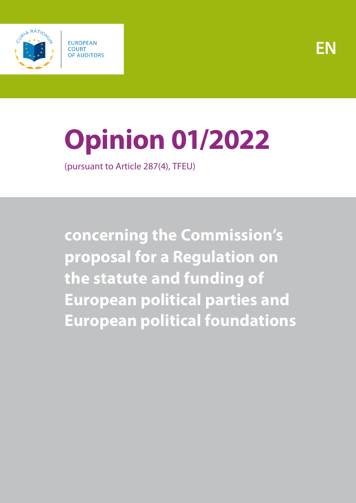



# **Opinion 01/2022**

(pursuant to Article 287(4), TFEU)

**concerning the Commission's proposal for a Regulation on the statute and funding of European political parties and European political foundations**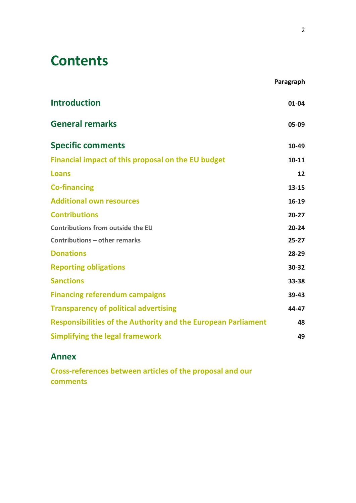# **Contents**

|                                                                      | Paragraph |
|----------------------------------------------------------------------|-----------|
| <b>Introduction</b>                                                  | $01 - 04$ |
| <b>General remarks</b>                                               | 05-09     |
| <b>Specific comments</b>                                             | 10-49     |
| Financial impact of this proposal on the EU budget                   | $10 - 11$ |
| Loans                                                                | 12        |
| <b>Co-financing</b>                                                  | $13 - 15$ |
| <b>Additional own resources</b>                                      | 16-19     |
| <b>Contributions</b>                                                 | $20 - 27$ |
| Contributions from outside the EU                                    | $20 - 24$ |
| <b>Contributions - other remarks</b>                                 | $25 - 27$ |
| <b>Donations</b>                                                     | 28-29     |
| <b>Reporting obligations</b>                                         | 30-32     |
| <b>Sanctions</b>                                                     | 33-38     |
| <b>Financing referendum campaigns</b>                                | 39-43     |
| <b>Transparency of political advertising</b>                         | 44-47     |
| <b>Responsibilities of the Authority and the European Parliament</b> | 48        |
| <b>Simplifying the legal framework</b>                               | 49        |

#### **[Annex](#page-18-0)**

**[Cross-references between articles of the proposal and our](#page-18-1)  [comments](#page-18-1)**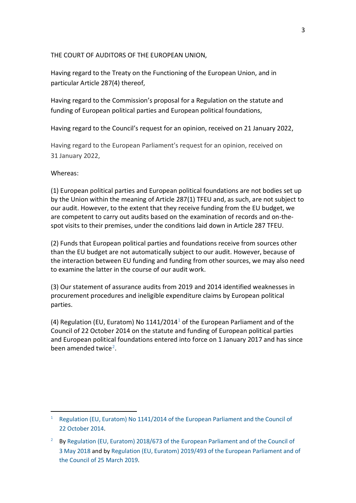#### THE COURT OF AUDITORS OF THE EUROPEAN UNION,

Having regard to the Treaty on the Functioning of the European Union, and in particular Article 287(4) thereof,

Having regard to the Commission's proposal for a Regulation on the statute and funding of European political parties and European political foundations,

Having regard to the Council's request for an opinion, received on 21 January 2022,

Having regard to the European Parliament's request for an opinion, received on 31 January 2022,

#### Whereas:

 $\overline{a}$ 

(1) European political parties and European political foundations are not bodies set up by the Union within the meaning of Article 287(1) TFEU and, as such, are not subject to our audit. However, to the extent that they receive funding from the EU budget, we are competent to carry out audits based on the examination of records and on-thespot visits to their premises, under the conditions laid down in Article 287 TFEU.

(2) Funds that European political parties and foundations receive from sources other than the EU budget are not automatically subject to our audit. However, because of the interaction between EU funding and funding from other sources, we may also need to examine the latter in the course of our audit work.

(3) Our statement of assurance audits from 2019 and 2014 identified weaknesses in procurement procedures and ineligible expenditure claims by European political parties.

(4) Regulation (EU, Euratom) No [1](#page-2-0)141/2014<sup>1</sup> of the European Parliament and of the Council of 22 October 2014 on the statute and funding of European political parties and European political foundations entered into force on 1 January 2017 and has since been amended twice<sup>[2](#page-2-1)</sup>.

<span id="page-2-0"></span><sup>&</sup>lt;sup>1</sup> Regulation (EU, Euratom) No 1141/2014 of the European Parliament and the Council of 22 [October](https://eur-lex.europa.eu/legal-content/EN/TXT/?uri=CELEX%3A32014R1141) 2014.

<span id="page-2-1"></span><sup>&</sup>lt;sup>2</sup> By Regulation (EU, Euratom) 2018/673 of the European Parliament and of the Council of [3 May](https://eur-lex.europa.eu/legal-content/EN/TXT/?uri=celex:32018R0673) 2018 and b[y Regulation \(EU, Euratom\) 2019/493 of the European Parliament and of](https://eur-lex.europa.eu/legal-content/EN/TXT/?uri=celex%3A32019R0493)  [the Council of 25](https://eur-lex.europa.eu/legal-content/EN/TXT/?uri=celex%3A32019R0493) March 2019.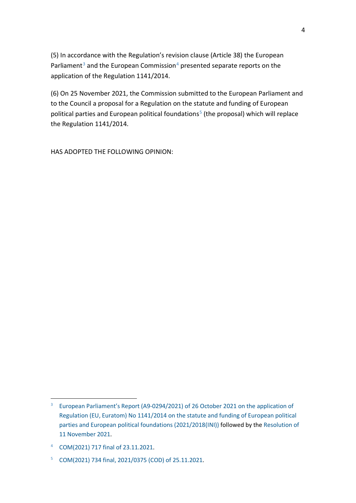(5) In accordance with the Regulation's revision clause (Article 38) the European Parliament<sup>[3](#page-3-0)</sup> and the European Commission<sup>[4](#page-3-1)</sup> presented separate reports on the application of the Regulation 1141/2014.

(6) On 25 November 2021, the Commission submitted to the European Parliament and to the Council a proposal for a Regulation on the statute and funding of European political parties and European political foundations<sup>[5](#page-3-2)</sup> (the proposal) which will replace the Regulation 1141/2014.

HAS ADOPTED THE FOLLOWING OPINION:

<span id="page-3-0"></span><sup>&</sup>lt;sup>3</sup> [European Parliament's Report \(A9-0294/2021\) of 26](https://www.europarl.europa.eu/doceo/document/A-9-2021-0294_EN.html) October 2021 on the application of Regulation (EU, Euratom) No [1141/2014 on the statute and funding of European political](https://www.europarl.europa.eu/doceo/document/A-9-2021-0294_EN.html)  [parties and European political foundations \(2021/2018\(INI\)\)](https://www.europarl.europa.eu/doceo/document/A-9-2021-0294_EN.html) followed by the [Resolution of](https://www.europarl.europa.eu/doceo/document/TA-9-2021-0454_EN.html)  11 [November](https://www.europarl.europa.eu/doceo/document/TA-9-2021-0454_EN.html) 2021.

<span id="page-3-1"></span><sup>4</sup> COM(2021) 717 [final of 23.11.2021.](https://eur-lex.europa.eu/legal-content/EN/TXT/?uri=CELEX%3A52021DC0717)

<span id="page-3-2"></span><sup>5</sup> COM(2021) 734 [final, 2021/0375 \(COD\) of 25.11.2021.](https://ec.europa.eu/info/sites/default/files/6_1_177519_euppproposal_en.pdf)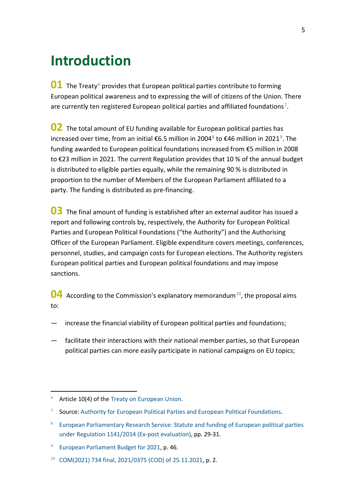# <span id="page-4-0"></span>**Introduction**

**01** The Treaty<sup>[6](#page-4-1)</sup> provides that European political parties contribute to forming European political awareness and to expressing the will of citizens of the Union. There are currently ten registered European political parties and affiliated foundations<sup>7</sup>.

**02** The total amount of EU funding available for European political parties has increased over time, from an initial €6.5 million in 2004<sup>[8](#page-4-3)</sup> to €46 million in 2021<sup>[9](#page-4-4)</sup>. The funding awarded to European political foundations increased from €5 million in 2008 to €23 million in 2021. The current Regulation provides that 10 % of the annual budget is distributed to eligible parties equally, while the remaining 90 % is distributed in proportion to the number of Members of the European Parliament affiliated to a party. The funding is distributed as pre-financing.

**03** The final amount of funding is established after an external auditor has issued a report and following controls by, respectively, the Authority for European Political Parties and European Political Foundations ("the Authority") and the Authorising Officer of the European Parliament. Eligible expenditure covers meetings, conferences, personnel, studies, and campaign costs for European elections. The Authority registers European political parties and European political foundations and may impose sanctions.

<span id="page-4-6"></span>**04** According to the Commission's explanatory memorandum<sup>[10](#page-4-5)</sup>, the proposal aims to:

- increase the financial viability of European political parties and foundations;
- facilitate their interactions with their national member parties, so that European political parties can more easily participate in national campaigns on EU topics;

<span id="page-4-1"></span> $6$  Article 10(4) of the [Treaty on European Union.](https://eur-lex.europa.eu/legal-content/en/TXT/?uri=CELEX%3A12012M%2FTXT)

<span id="page-4-2"></span>Source: [Authority for European Political Parties and European Political Foundations.](https://www.appf.europa.eu/appf/en/parties-and-foundations/registered-parties)

<span id="page-4-3"></span><sup>8</sup> European Parliamentary Research Service: Statute and funding of European political parties under Regulation [1141/2014 \(Ex-post evaluation\),](https://www.europarl.europa.eu/RegData/etudes/STUD/2021/662646/EPRS_STU(2021)662646_EN.pdf) pp. 29-31.

<span id="page-4-4"></span><sup>&</sup>lt;sup>9</sup> [European Parliament Budget for 2021,](https://eur-lex.europa.eu/budget/data/DB2/2021/en/SEC01.pdf) p. 46.

<span id="page-4-5"></span><sup>10</sup> COM(2021) 734 [final, 2021/0375 \(COD\) of 25.11.2021,](https://ec.europa.eu/info/sites/default/files/6_1_177519_euppproposal_en.pdf) p. 2.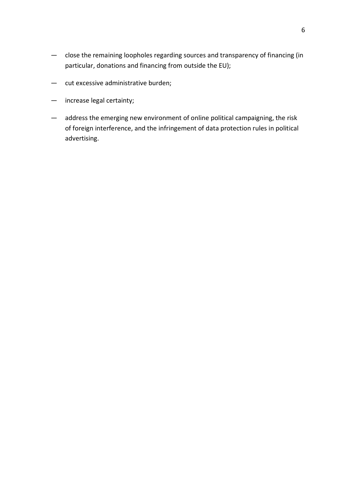- close the remaining loopholes regarding sources and transparency of financing (in particular, donations and financing from outside the EU);
- cut excessive administrative burden;
- increase legal certainty;
- address the emerging new environment of online political campaigning, the risk of foreign interference, and the infringement of data protection rules in political advertising.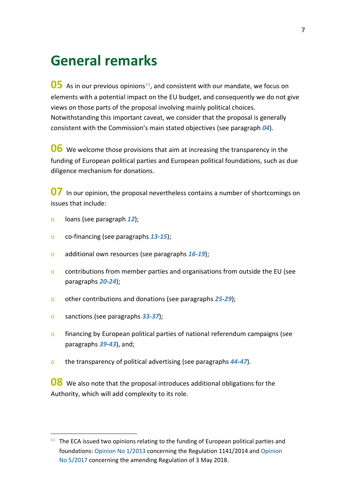## <span id="page-6-0"></span>**General remarks**

<span id="page-6-2"></span>**05** As in our previous opinions<sup>[11](#page-6-1)</sup>, and consistent with our mandate, we focus on elements with a potential impact on the EU budget, and consequently we do not give views on those parts of the proposal involving mainly political choices. Notwithstanding this important caveat, we consider that the proposal is generally consistent with the Commission's main stated objectives (see paragraph *[04](#page-4-6)*).

**06** We welcome those provisions that aim at increasing the transparency in the funding of European political parties and European political foundations, such as due diligence mechanism for donations.

**07** In our opinion, the proposal nevertheless contains a number of shortcomings on issues that include:

- o loans (see paragraph *[12](#page-8-4)*);
- o co-financing (see paragraphs *[13](#page-8-5)*-*[15](#page-9-1)*);
- o additional own resources (see paragraphs *[16](#page-9-2)*-*[19](#page-10-2)*);
- o contributions from member parties and organisations from outside the EU (see paragraphs *[20](#page-10-3)*-*[24](#page-11-1)*);
- o other contributions and donations (see paragraphs *[25](#page-11-2)*-*[29](#page-12-2)*);
- o sanctions (see paragraphs *[33](#page-13-1)*-*[37](#page-14-1)*);
- o financing by European political parties of national referendum campaigns (see paragraphs *[39](#page-14-2)*-*[43](#page-15-1)*), and;
- o the transparency of political advertising (see paragraphs *[44](#page-15-2)*-*[47](#page-16-1)*).

**08** We also note that the proposal introduces additional obligations for the Authority, which will add complexity to its role.

<span id="page-6-1"></span> $11$  The ECA issued two opinions relating to the funding of European political parties and foundations: [Opinion No](https://www.eca.europa.eu/lists/ecadocuments/op13_01/op13_01_en.pdf) 1/2013 concerning the Regulation 1141/2014 and [Opinion](https://www.eca.europa.eu/Lists/ECADocuments/OP17_05/OP17_05_EN.pdf)  No [5/2017](https://www.eca.europa.eu/Lists/ECADocuments/OP17_05/OP17_05_EN.pdf) concerning the amending Regulation of 3 May 2018.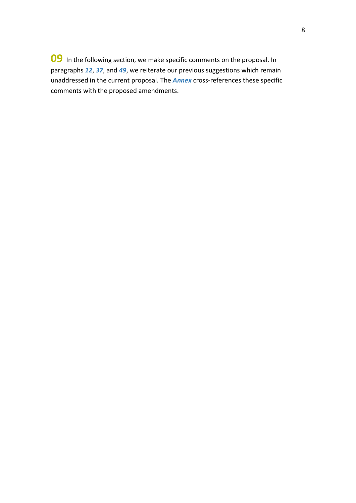**09** In the following section, we make specific comments on the proposal. In paragraphs *[12](#page-8-4)*, *[37](#page-14-1)*, and *[49](#page-17-1)*, we reiterate our previous suggestions which remain unaddressed in the current proposal. The *[Annex](#page-18-0)* cross-references these specific comments with the proposed amendments.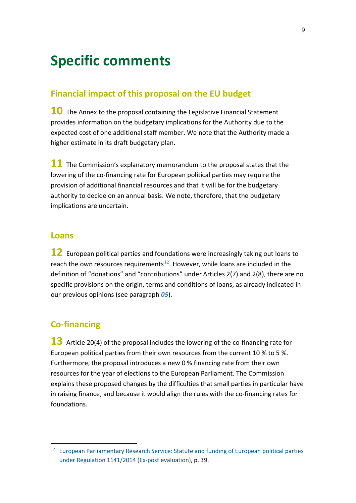# <span id="page-8-0"></span>**Specific comments**

#### <span id="page-8-1"></span>**Financial impact of this proposal on the EU budget**

**10** The Annex to the proposal containing the Legislative Financial Statement provides information on the budgetary implications for the Authority due to the expected cost of one additional staff member. We note that the Authority made a higher estimate in its draft budgetary plan.

**11** The Commission's explanatory memorandum to the proposal states that the lowering of the co-financing rate for European political parties may require the provision of additional financial resources and that it will be for the budgetary authority to decide on an annual basis. We note, therefore, that the budgetary implications are uncertain.

#### <span id="page-8-2"></span>**Loans**

<span id="page-8-4"></span>**12** European political parties and foundations were increasingly taking out loans to reach the own resources requirements<sup>12</sup>. However, while loans are included in the definition of "donations" and "contributions" under Articles 2(7) and 2(8), there are no specific provisions on the origin, terms and conditions of loans, as already indicated in our previous opinions (see paragraph *[05](#page-6-2)*).

#### <span id="page-8-3"></span>**Co-financing**

<span id="page-8-5"></span>13 Article 20(4) of the proposal includes the lowering of the co-financing rate for European political parties from their own resources from the current 10 % to 5 %. Furthermore, the proposal introduces a new 0 % financing rate from their own resources for the year of elections to the European Parliament. The Commission explains these proposed changes by the difficulties that small parties in particular have in raising finance, and because it would align the rules with the co-financing rates for foundations.

<span id="page-8-6"></span><sup>&</sup>lt;sup>12</sup> European Parliamentary Research Service: Statute and funding of European political parties under Regulation [1141/2014 \(Ex-post evaluation\),](https://www.europarl.europa.eu/RegData/etudes/STUD/2021/662646/EPRS_STU(2021)662646_EN.pdf?_sm_au_=iVV5Z00vnJ6sMWHFVkFHNKt0jRsMJ) p. 39.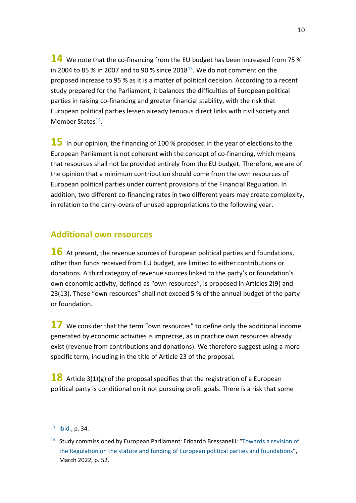**14** We note that the co-financing from the EU budget has been increased from 75 % in 2004 to 85 % in 2007 and to 90 % since 2018 $^{13}$ . We do not comment on the proposed increase to 95 % as it is a matter of political decision. According to a recent study prepared for the Parliament, it balances the difficulties of European political parties in raising co-financing and greater financial stability, with the risk that European political parties lessen already tenuous direct links with civil society and Member States<sup>[14](#page-9-4)</sup>.

<span id="page-9-1"></span>**15** In our opinion, the financing of 100 % proposed in the year of elections to the European Parliament is not coherent with the concept of co-financing, which means that resources shall not be provided entirely from the EU budget. Therefore, we are of the opinion that a minimum contribution should come from the own resources of European political parties under current provisions of the Financial Regulation. In addition, two different co-financing rates in two different years may create complexity, in relation to the carry-overs of unused appropriations to the following year.

#### <span id="page-9-0"></span>**Additional own resources**

<span id="page-9-2"></span>**16** At present, the revenue sources of European political parties and foundations, other than funds received from EU budget, are limited to either contributions or donations. A third category of revenue sources linked to the party's or foundation's own economic activity, defined as "own resources", is proposed in Articles 2(9) and 23(13). These "own resources" shall not exceed 5 % of the annual budget of the party or foundation.

<span id="page-9-6"></span>**17** We consider that the term "own resources" to define only the additional income generated by economic activities is imprecise, as in practice own resources already exist (revenue from contributions and donations). We therefore suggest using a more specific term, including in the title of Article 23 of the proposal.

<span id="page-9-5"></span>**18** Article 3(1)(g) of the proposal specifies that the registration of a European political party is conditional on it not pursuing profit goals. There is a risk that some

<span id="page-9-3"></span> $13$  [Ibid.,](https://www.europarl.europa.eu/RegData/etudes/STUD/2021/662646/EPRS_STU(2021)662646_EN.pdf?_sm_au_=iVV4Z3QVWRLSGRGMVkFHNKt0jRsMJ) p. 34.

<span id="page-9-4"></span> $14$  Study commissioned by European Parliament: Edoardo Bressanelli: "Towards a revision of [the Regulation on the statute and funding of European political parties and foundations"](https://www.europarl.europa.eu/thinktank/en/document/IPOL_STU(2022)729741), March 2022, p. 52.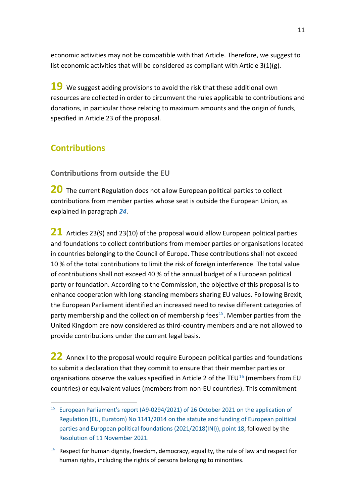economic activities may not be compatible with that Article. Therefore, we suggest to list economic activities that will be considered as compliant with Article  $3(1)(g)$ .

<span id="page-10-2"></span>19 We suggest adding provisions to avoid the risk that these additional own resources are collected in order to circumvent the rules applicable to contributions and donations, in particular those relating to maximum amounts and the origin of funds, specified in Article 23 of the proposal.

## <span id="page-10-0"></span>**Contributions**

#### <span id="page-10-1"></span>**Contributions from outside the EU**

<span id="page-10-3"></span>**20** The current Regulation does not allow European political parties to collect contributions from member parties whose seat is outside the European Union, as explained in paragraph *[24](#page-11-1)*.

<span id="page-10-7"></span>**21** Articles 23(9) and 23(10) of the proposal would allow European political parties and foundations to collect contributions from member parties or organisations located in countries belonging to the Council of Europe. These contributions shall not exceed 10 % of the total contributions to limit the risk of foreign interference. The total value of contributions shall not exceed 40 % of the annual budget of a European political party or foundation. According to the Commission, the objective of this proposal is to enhance cooperation with long-standing members sharing EU values. Following Brexit, the European Parliament identified an increased need to revise different categories of party membership and the collection of membership fees<sup>15</sup>. Member parties from the United Kingdom are now considered as third-country members and are not allowed to provide contributions under the current legal basis.

<span id="page-10-6"></span>**22** Annex I to the proposal would require European political parties and foundations to submit a declaration that they commit to ensure that their member parties or organisations observe the values specified in Article 2 of the TEU $^{16}$  $^{16}$  $^{16}$  (members from EU countries) or equivalent values (members from non-EU countries). This commitment

<span id="page-10-4"></span> <sup>15</sup> [European Parliament's report \(A9-0294/2021\) of 26](https://www.europarl.europa.eu/doceo/document/A-9-2021-0294_EN.html) October 2021 on the application of Regulation (EU, Euratom) No [1141/2014 on the statute and funding of European political](https://www.europarl.europa.eu/doceo/document/A-9-2021-0294_EN.html)  [parties and European political foundations \(2021/2018\(INI\)\), point](https://www.europarl.europa.eu/doceo/document/A-9-2021-0294_EN.html) 18, followed by the [Resolution of 11](https://www.europarl.europa.eu/doceo/document/TA-9-2021-0454_EN.html) November 2021.

<span id="page-10-5"></span> $16$  Respect for human dignity, freedom, democracy, equality, the rule of law and respect for human rights, including the rights of persons belonging to minorities.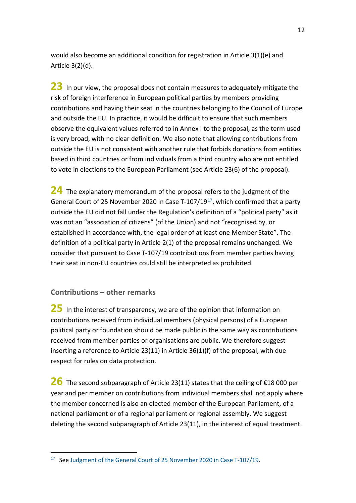would also become an additional condition for registration in Article 3(1)(e) and Article 3(2)(d).

<span id="page-11-4"></span>23 In our view, the proposal does not contain measures to adequately mitigate the risk of foreign interference in European political parties by members providing contributions and having their seat in the countries belonging to the Council of Europe and outside the EU. In practice, it would be difficult to ensure that such members observe the equivalent values referred to in Annex I to the proposal, as the term used is very broad, with no clear definition. We also note that allowing contributions from outside the EU is not consistent with another rule that forbids donations from entities based in third countries or from individuals from a third country who are not entitled to vote in elections to the European Parliament (see Article 23(6) of the proposal).

<span id="page-11-1"></span>**24** The explanatory memorandum of the proposal refers to the judgment of the General Court of 25 November 2020 in Case T-107/19 $^{17}$  $^{17}$  $^{17}$ , which confirmed that a party outside the EU did not fall under the Regulation's definition of a "political party" as it was not an "association of citizens" (of the Union) and not "recognised by, or established in accordance with, the legal order of at least one Member State". The definition of a political party in Article 2(1) of the proposal remains unchanged. We consider that pursuant to Case T-107/19 contributions from member parties having their seat in non-EU countries could still be interpreted as prohibited.

#### <span id="page-11-0"></span>**Contributions – other remarks**

<span id="page-11-2"></span>**25** In the interest of transparency, we are of the opinion that information on contributions received from individual members (physical persons) of a European political party or foundation should be made public in the same way as contributions received from member parties or organisations are public. We therefore suggest inserting a reference to Article 23(11) in Article 36(1)(f) of the proposal, with due respect for rules on data protection.

<span id="page-11-5"></span>**26** The second subparagraph of Article 23(11) states that the ceiling of €18 <sup>000</sup> per year and per member on contributions from individual members shall not apply where the member concerned is also an elected member of the European Parliament, of a national parliament or of a regional parliament or regional assembly. We suggest deleting the second subparagraph of Article 23(11), in the interest of equal treatment.

<span id="page-11-3"></span><sup>&</sup>lt;sup>17</sup> See Judgment [of the General Court of 25](https://curia.europa.eu/juris/document/document.jsf;jsessionid=B4E56C5936C29C578140B43F388C6595?text=&docid=234334&pageIndex=0&doclang=en&mode=lst&dir=&occ=first&part=1&cid=1131777) November 2020 in Case T-107/19.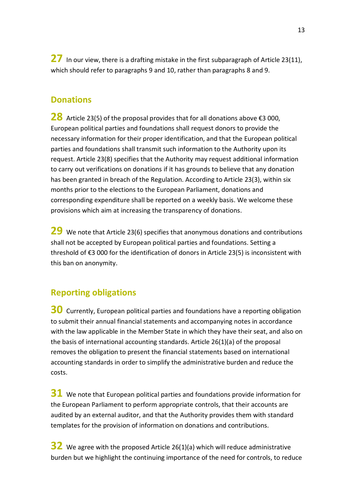<span id="page-12-4"></span>27 In our view, there is a drafting mistake in the first subparagraph of Article 23(11), which should refer to paragraphs 9 and 10, rather than paragraphs 8 and 9.

#### <span id="page-12-0"></span>**Donations**

<span id="page-12-3"></span>**28** Article 23(5) of the proposal provides that for all donations above €3 000, European political parties and foundations shall request donors to provide the necessary information for their proper identification, and that the European political parties and foundations shall transmit such information to the Authority upon its request. Article 23(8) specifies that the Authority may request additional information to carry out verifications on donations if it has grounds to believe that any donation has been granted in breach of the Regulation. According to Article 23(3), within six months prior to the elections to the European Parliament, donations and corresponding expenditure shall be reported on a weekly basis. We welcome these provisions which aim at increasing the transparency of donations.

<span id="page-12-2"></span>**29** We note that Article 23(6) specifies that anonymous donations and contributions shall not be accepted by European political parties and foundations. Setting a threshold of €3 000 for the identification of donors in Article 23(5) is inconsistent with this ban on anonymity.

### <span id="page-12-1"></span>**Reporting obligations**

<span id="page-12-5"></span>**30** Currently, European political parties and foundations have a reporting obligation to submit their annual financial statements and accompanying notes in accordance with the law applicable in the Member State in which they have their seat, and also on the basis of international accounting standards. Article 26(1)(a) of the proposal removes the obligation to present the financial statements based on international accounting standards in order to simplify the administrative burden and reduce the costs.

**31** We note that European political parties and foundations provide information for the European Parliament to perform appropriate controls, that their accounts are audited by an external auditor, and that the Authority provides them with standard templates for the provision of information on donations and contributions.

<span id="page-12-6"></span>**32** We agree with the proposed Article 26(1)(a) which will reduce administrative burden but we highlight the continuing importance of the need for controls, to reduce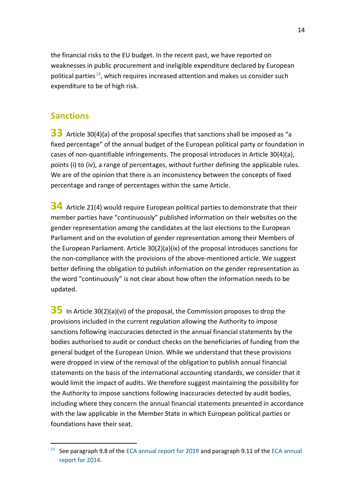the financial risks to the EU budget. In the recent past, we have reported on weaknesses in public procurement and ineligible expenditure declared by European political parties<sup>[18](#page-13-2)</sup>, which requires increased attention and makes us consider such expenditure to be of high risk.

#### <span id="page-13-0"></span>**Sanctions**

<span id="page-13-1"></span>**33** Article 30(4)(a) of the proposal specifies that sanctions shall be imposed as "a fixed percentage" of the annual budget of the European political party or foundation in cases of non-quantifiable infringements. The proposal introduces in Article 30(4)(a), points (i) to (iv), a range of percentages, without further defining the applicable rules. We are of the opinion that there is an inconsistency between the concepts of fixed percentage and range of percentages within the same Article.

<span id="page-13-3"></span>**34** Article 21(4) would require European political parties to demonstrate that their member parties have "continuously" published information on their websites on the gender representation among the candidates at the last elections to the European Parliament and on the evolution of gender representation among their Members of the European Parliament. Article 30(2)(a)(ix) of the proposal introduces sanctions for the non-compliance with the provisions of the above-mentioned article. We suggest better defining the obligation to publish information on the gender representation as the word "continuously" is not clear about how often the information needs to be updated.

<span id="page-13-4"></span>**35** In Article 30(2)(a)(vi) of the proposal, the Commission proposes to drop the provisions included in the current regulation allowing the Authority to impose sanctions following inaccuracies detected in the annual financial statements by the bodies authorised to audit or conduct checks on the beneficiaries of funding from the general budget of the European Union. While we understand that these provisions were dropped in view of the removal of the obligation to publish annual financial statements on the basis of the international accounting standards, we consider that it would limit the impact of audits. We therefore suggest maintaining the possibility for the Authority to impose sanctions following inaccuracies detected by audit bodies, including where they concern the annual financial statements presented in accordance with the law applicable in the Member State in which European political parties or foundations have their seat.

<span id="page-13-2"></span> $18$  See paragraph 9.8 of the [ECA annual report for 2019](https://www.eca.europa.eu/Lists/ECADocuments/annualreports-2019/annualreports-2019_EN.pdf) and paragraph 9.11 of the ECA annual [report for 2014.](https://www.eca.europa.eu/Lists/ECADocuments/annualreports-2014/annualreports-2014-EN.pdf)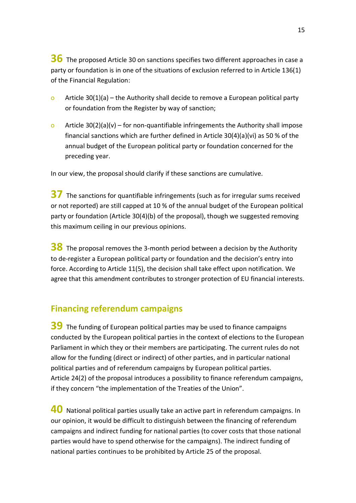<span id="page-14-5"></span>**36** The proposed Article 30 on sanctions specifies two different approaches in case a party or foundation is in one of the situations of exclusion referred to in Article 136(1) of the Financial Regulation:

- o Article 30(1)(a) the Authority shall decide to remove a European political party or foundation from the Register by way of sanction;
- o Article  $30(2)(a)(v)$  for non-quantifiable infringements the Authority shall impose financial sanctions which are further defined in Article 30(4)(a)(vi) as 50 % of the annual budget of the European political party or foundation concerned for the preceding year.

In our view, the proposal should clarify if these sanctions are cumulative.

<span id="page-14-1"></span>**37** The sanctions for quantifiable infringements (such as for irregular sums received or not reported) are still capped at 10 % of the annual budget of the European political party or foundation (Article 30(4)(b) of the proposal), though we suggested removing this maximum ceiling in our previous opinions.

<span id="page-14-3"></span>**38** The proposal removes the 3-month period between a decision by the Authority to de-register a European political party or foundation and the decision's entry into force. According to Article 11(5), the decision shall take effect upon notification. We agree that this amendment contributes to stronger protection of EU financial interests.

#### <span id="page-14-0"></span>**Financing referendum campaigns**

<span id="page-14-2"></span>**39** The funding of European political parties may be used to finance campaigns conducted by the European political parties in the context of elections to the European Parliament in which they or their members are participating. The current rules do not allow for the funding (direct or indirect) of other parties, and in particular national political parties and of referendum campaigns by European political parties. Article 24(2) of the proposal introduces a possibility to finance referendum campaigns, if they concern "the implementation of the Treaties of the Union".

<span id="page-14-4"></span>**40** National political parties usually take an active part in referendum campaigns. In our opinion, it would be difficult to distinguish between the financing of referendum campaigns and indirect funding for national parties (to cover costs that those national parties would have to spend otherwise for the campaigns). The indirect funding of national parties continues to be prohibited by Article 25 of the proposal.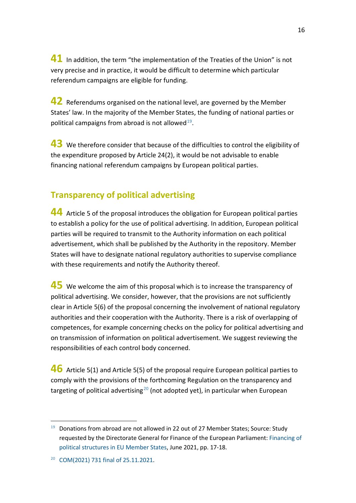**41** In addition, the term "the implementation of the Treaties of the Union" is not very precise and in practice, it would be difficult to determine which particular referendum campaigns are eligible for funding.

**42** Referendums organised on the national level, are governed by the Member States' law. In the majority of the Member States, the funding of national parties or political campaigns from abroad is not allowed $19$ .

<span id="page-15-1"></span>**43** We therefore consider that because of the difficulties to control the eligibility of the expenditure proposed by Article 24(2), it would be not advisable to enable financing national referendum campaigns by European political parties.

## <span id="page-15-0"></span>**Transparency of political advertising**

<span id="page-15-2"></span>**44** Article 5 of the proposal introduces the obligation for European political parties to establish a policy for the use of political advertising. In addition, European political parties will be required to transmit to the Authority information on each political advertisement, which shall be published by the Authority in the repository. Member States will have to designate national regulatory authorities to supervise compliance with these requirements and notify the Authority thereof.

<span id="page-15-6"></span>**45** We welcome the aim of this proposal which is to increase the transparency of political advertising. We consider, however, that the provisions are not sufficiently clear in Article 5(6) of the proposal concerning the involvement of national regulatory authorities and their cooperation with the Authority. There is a risk of overlapping of competences, for example concerning checks on the policy for political advertising and on transmission of information on political advertisement. We suggest reviewing the responsibilities of each control body concerned.

<span id="page-15-5"></span>**46** Article 5(1) and Article 5(5) of the proposal require European political parties to comply with the provisions of the forthcoming Regulation on the transparency and targeting of political advertising<sup>[20](#page-15-4)</sup> (not adopted yet), in particular when European

<span id="page-15-3"></span> <sup>19</sup> Donations from abroad are not allowed in 22 out of 27 Member States; Source: Study requested by the Directorate General for Finance of the European Parliament[: Financing of](https://www.europarl.europa.eu/meetdocs/2014_2019/plmrep/COMMITTEES/AFCO/DV/2021/10-27/2021-JUNE_PE694.836_Financingpoliticalstructures_withAnnex3_EN.pdf)  [political structures in EU Member States,](https://www.europarl.europa.eu/meetdocs/2014_2019/plmrep/COMMITTEES/AFCO/DV/2021/10-27/2021-JUNE_PE694.836_Financingpoliticalstructures_withAnnex3_EN.pdf) June 2021, pp. 17-18.

<span id="page-15-4"></span><sup>20</sup> COM(2021) 731 [final of 25.11.2021.](https://eur-lex.europa.eu/legal-content/EN/TXT/?uri=CELEX%3A52021PC0731)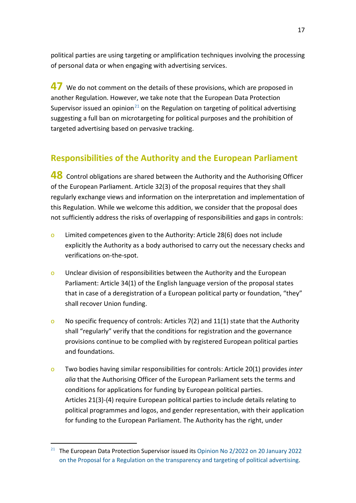political parties are using targeting or amplification techniques involving the processing of personal data or when engaging with advertising services.

<span id="page-16-1"></span>**47** We do not comment on the details of these provisions, which are proposed in another Regulation. However, we take note that the European Data Protection Supervisor issued an opinion<sup>[21](#page-16-2)</sup> on the Regulation on targeting of political advertising suggesting a full ban on microtargeting for political purposes and the prohibition of targeted advertising based on pervasive tracking.

## <span id="page-16-0"></span>**Responsibilities of the Authority and the European Parliament**

<span id="page-16-3"></span>**48** Control obligations are shared between the Authority and the Authorising Officer of the European Parliament. Article 32(3) of the proposal requires that they shall regularly exchange views and information on the interpretation and implementation of this Regulation. While we welcome this addition, we consider that the proposal does not sufficiently address the risks of overlapping of responsibilities and gaps in controls:

- o Limited competences given to the Authority: Article 28(6) does not include explicitly the Authority as a body authorised to carry out the necessary checks and verifications on-the-spot.
- o Unclear division of responsibilities between the Authority and the European Parliament: Article 34(1) of the English language version of the proposal states that in case of a deregistration of a European political party or foundation, "they" shall recover Union funding.
- o No specific frequency of controls: Articles 7(2) and 11(1) state that the Authority shall "regularly" verify that the conditions for registration and the governance provisions continue to be complied with by registered European political parties and foundations.
- o Two bodies having similar responsibilities for controls: Article 20(1) provides *inter alia* that the Authorising Officer of the European Parliament sets the terms and conditions for applications for funding by European political parties. Articles 21(3)-(4) require European political parties to include details relating to political programmes and logos, and gender representation, with their application for funding to the European Parliament. The Authority has the right, under

<span id="page-16-2"></span><sup>&</sup>lt;sup>21</sup> The European Data Protection Supervisor issued its Opinion No [2/2022 on 20](https://edps.europa.eu/data-protection/our-work/publications/opinions/edps-opinion-proposal-regulation-transparency-and_en) January 2022 [on the Proposal for a Regulation on the transparency and targeting of political advertising.](https://edps.europa.eu/data-protection/our-work/publications/opinions/edps-opinion-proposal-regulation-transparency-and_en)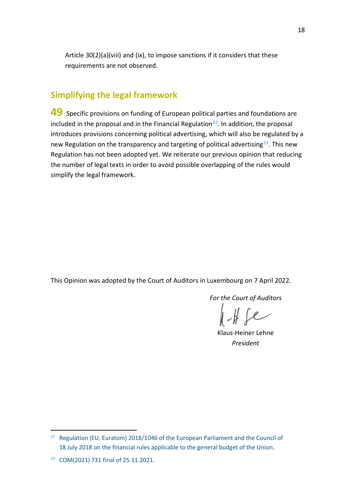Article 30(2)(a)(viii) and (ix), to impose sanctions if it considers that these requirements are not observed.

#### <span id="page-17-0"></span>**Simplifying the legal framework**

<span id="page-17-1"></span>**49** Specific provisions on funding of European political parties and foundations are included in the proposal and in the Financial Regulation $^{22}$  $^{22}$  $^{22}$ . In addition, the proposal introduces provisions concerning political advertising, which will also be regulated by a new Regulation on the transparency and targeting of political advertising<sup>[23](#page-17-3)</sup>. This new Regulation has not been adopted yet. We reiterate our previous opinion that reducing the number of legal texts in order to avoid possible overlapping of the rules would simplify the legal framework.

This Opinion was adopted by the Court of Auditors in Luxembourg on 7 April 2022.

*For the Court of Auditors*

 $HHe$ 

Klaus-Heiner Lehne *President*

<span id="page-17-2"></span><sup>&</sup>lt;sup>22</sup> Regulation (EU, Euratom) 2018/1046 of the European Parliament and the Council of 18 July [2018 on the financial rules applicable to the general budget of the](https://eur-lex.europa.eu/legal-content/EN/TXT/?uri=CELEX%3A32018R1046) Union.

<span id="page-17-3"></span><sup>23</sup> COM(2021) 731 [final of 25.11.2021.](https://eur-lex.europa.eu/legal-content/EN/TXT/?uri=CELEX%3A52021PC0731)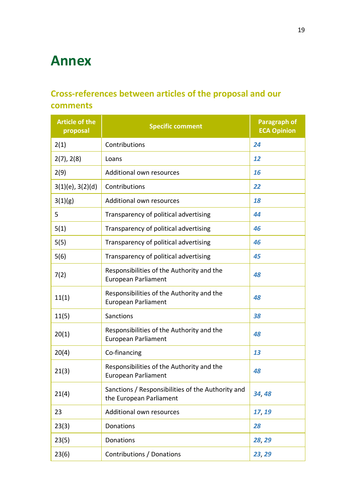# <span id="page-18-0"></span>**Annex**

## <span id="page-18-1"></span>**Cross-references between articles of the proposal and our comments**

| <b>Article of the</b><br>proposal | <b>Specific comment</b>                                                      | <b>Paragraph of</b><br><b>ECA Opinion</b> |
|-----------------------------------|------------------------------------------------------------------------------|-------------------------------------------|
| 2(1)                              | Contributions                                                                | 24                                        |
| 2(7), 2(8)                        | Loans                                                                        | 12                                        |
| 2(9)                              | Additional own resources                                                     | 16                                        |
| $3(1)(e)$ , $3(2)(d)$             | Contributions                                                                | 22                                        |
| 3(1)(g)                           | Additional own resources                                                     | 18                                        |
| 5                                 | Transparency of political advertising                                        | 44                                        |
| 5(1)                              | Transparency of political advertising                                        | 46                                        |
| 5(5)                              | Transparency of political advertising                                        | 46                                        |
| 5(6)                              | Transparency of political advertising                                        | 45                                        |
| 7(2)                              | Responsibilities of the Authority and the<br><b>European Parliament</b>      | 48                                        |
| 11(1)                             | Responsibilities of the Authority and the<br><b>European Parliament</b>      | 48                                        |
| 11(5)                             | Sanctions                                                                    | 38                                        |
| 20(1)                             | Responsibilities of the Authority and the<br><b>European Parliament</b>      | 48                                        |
| 20(4)                             | Co-financing                                                                 | 13                                        |
| 21(3)                             | Responsibilities of the Authority and the<br>European Parliament             | 48                                        |
| 21(4)                             | Sanctions / Responsibilities of the Authority and<br>the European Parliament | 34,48                                     |
| 23                                | Additional own resources                                                     | 17, 19                                    |
| 23(3)                             | Donations                                                                    | 28                                        |
| 23(5)                             | Donations                                                                    | 28, 29                                    |
| 23(6)                             | Contributions / Donations                                                    | 23, 29                                    |